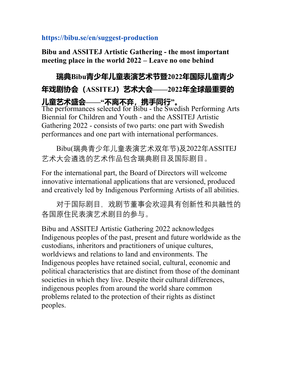## https://bibu.se/en/suggest-production

Bibu and ASSITEJ Artistic Gathering - the most important meeting place in the world 2022 – Leave no one behind

## 瑞典Bibu青少年儿童表演艺术节暨2022年国际儿童青少 年戏剧协会(ASSITEJ)艺术大会——2022年全球最重要的 儿童艺术盛会——"不离不弃,携手同行"。

The performances selected for Bibu - the Swedish Performing Arts Biennial for Children and Youth - and the ASSITEJ Artistic Gathering 2022 - consists of two parts: one part with Swedish performances and one part with international performances.

 Bibu(瑞典青少年儿童表演艺术双年节)及2022年ASSITEJ 艺术大会遴选的艺术作品包含瑞典剧目及国际剧目。

For the international part, the Board of Directors will welcome innovative international applications that are versioned, produced and creatively led by Indigenous Performing Artists of all abilities.

 对于国际剧目,戏剧节董事会欢迎具有创新性和共融性的 各国原住民表演艺术剧目的参与。

Bibu and ASSITEJ Artistic Gathering 2022 acknowledges Indigenous peoples of the past, present and future worldwide as the custodians, inheritors and practitioners of unique cultures, worldviews and relations to land and environments. The Indigenous peoples have retained social, cultural, economic and political characteristics that are distinct from those of the dominant societies in which they live. Despite their cultural differences, indigenous peoples from around the world share common problems related to the protection of their rights as distinct peoples.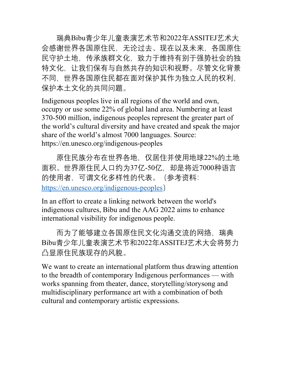瑞典Bibu青少年儿童表演艺术节和2022年ASSITEJ艺术大 会感谢世界各国原住民,无论过去、现在以及未来,各国原住 民守护土地,传承族群文化,致力于维持有别于强势社会的独 特文化,让我们保有与自然共存的知识和视野。尽管文化背景 不同,世界各国原住民都在面对保护其作为独立人民的权利, 保护本土文化的共同问题。

Indigenous peoples live in all regions of the world and own, occupy or use some 22% of global land area. Numbering at least 370-500 million, indigenous peoples represent the greater part of the world's cultural diversity and have created and speak the major share of the world's almost 7000 languages. Source: https://en.unesco.org/indigenous-peoples

 原住民族分布在世界各地,仅居住并使用地球22%的土地 面积。世界原住民人口约为37亿-50亿,却是将近7000种语言 的使用者,可谓文化多样性的代表。(参考资料: https://en.unesco.org/indigenous-peoples)

In an effort to create a linking network between the world's indigenous cultures, Bibu and the AAG 2022 aims to enhance international visibility for indigenous people.

而为了能够建立各国原住民文化沟通交流的网络,瑞典 Bibu青少年儿童表演艺术节和2022年ASSITEJ艺术大会将努力 凸显原住民族现存的风貌。

We want to create an international platform thus drawing attention to the breadth of contemporary Indigenous performances — with works spanning from theater, dance, storytelling/storysong and multidisciplinary performance art with a combination of both cultural and contemporary artistic expressions.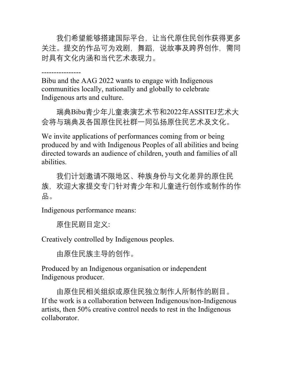我们希望能够搭建国际平台,让当代原住民创作获得更多 关注。提交的作品可为戏剧,舞蹈,说故事及跨界创作,需同 时具有文化内涵和当代艺术表现力。

----------------

Bibu and the AAG 2022 wants to engage with Indigenous communities locally, nationally and globally to celebrate Indigenous arts and culture.

 瑞典Bibu青少年儿童表演艺术节和2022年ASSITEJ艺术大 会将与瑞典及各国原住民社群一同弘扬原住民艺术及文化。

We invite applications of performances coming from or being produced by and with Indigenous Peoples of all abilities and being directed towards an audience of children, youth and families of all abilities.

 我们计划邀请不限地区、种族身份与文化差异的原住民 族,欢迎大家提交专门针对青少年和儿童进行创作或制作的作 品。

Indigenous performance means:

原住民剧目定义:

Creatively controlled by Indigenous peoples.

由原住民族主导的创作。

Produced by an Indigenous organisation or independent Indigenous producer.

 由原住民相关组织或原住民独立制作人所制作的剧目。 If the work is a collaboration between Indigenous/non-Indigenous artists, then 50% creative control needs to rest in the Indigenous collaborator.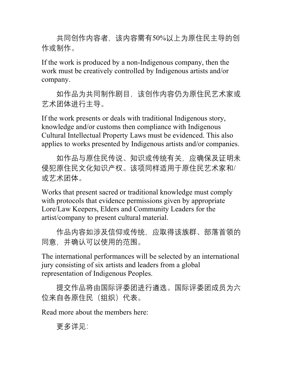共同创作内容者,该内容需有50%以上为原住民主导的创 作或制作。

If the work is produced by a non-Indigenous company, then the work must be creatively controlled by Indigenous artists and/or company.

 如作品为共同制作剧目,该创作内容仍为原住民艺术家或 艺术团体进行主导。

If the work presents or deals with traditional Indigenous story, knowledge and/or customs then compliance with Indigenous Cultural Intellectual Property Laws must be evidenced. This also applies to works presented by Indigenous artists and/or companies.

 如作品与原住民传说、知识或传统有关,应确保及证明未 侵犯原住民文化知识产权。该项同样适用于原住民艺术家和/ 或艺术团体。

Works that present sacred or traditional knowledge must comply with protocols that evidence permissions given by appropriate Lore/Law Keepers, Elders and Community Leaders for the artist/company to present cultural material.

 作品内容如涉及信仰或传统,应取得该族群、部落首领的 同意,并确认可以使用的范围。

The international performances will be selected by an international jury consisting of six artists and leaders from a global representation of Indigenous Peoples.

 提交作品将由国际评委团进行遴选。国际评委团成员为六 位来自各原住民(组织)代表。

Read more about the members here:

更多详见: